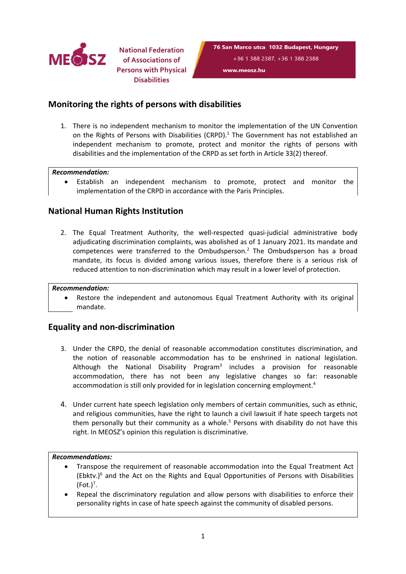

**National Federation of Associations of Persons with Physical Disabilities**

## **Monitoring the rights of persons with disabilities**

1. There is no independent mechanism to monitor the implementation of the UN Convention on the Rights of Persons with Disabilities (CRPD). 1 The Government has not established an independent mechanism to promote, protect and monitor the rights of persons with disabilities and the implementation of the CRPD as set forth in Article 33(2) thereof.

### *Recommendation:*

 $\bullet$  Establish an independent mechanism to promote, protect and monitor the implementation of the CRPD in accordance with the Paris Principles.

## **National Human Rights Institution**

2. The Equal Treatment Authority, the well-respected quasi-judicial administrative body adjudicating discrimination complaints, was abolished as of 1 January 2021. Its mandate and competences were transferred to the Ombudsperson.<sup>2</sup> The Ombudsperson has a broad mandate, its focus is divided among various issues, therefore there is <sup>a</sup> serious risk of reduced attention to non-discrimination which may result in <sup>a</sup> lower level of protection.

#### *Recommendation:*

c Restore the independent and autonomous Equal Treatment Authority with its original mandate.

## **Equality and non-discrimination**

- 3. Under the CRPD, the denial of reasonable accommodation constitutes discrimination, and the notion of reasonable accommodation has to be enshrined in national legislation. Although the National Disability Program<sup>3</sup> includes a provision for reasonable accommodation, there has not been any legislative changes so far: reasonable accommodation is still only provided for in legislation concerning employment. 4
- 4. Under current hate speech legislation only members of certain communities, such as ethnic, and religious communities, have the right to launch <sup>a</sup> civil lawsuit if hate speech targets not them personally but their community as a whole.<sup>5</sup> Persons with disability do not have this right. In MEOSZ'<sup>s</sup> opinion this regulation is discriminative.

#### *Recommendations:*

- c Transpose the requirement of reasonable accommodation into the Equal Treatment Act (Ebktv.) 6 and the Act on the Rights and Equal Opportunities of Persons with Disabilities (Fot.) 7 .
- c Repeal the discriminatory regulation and allow persons with disabilities to enforce their personality rights in case of hate speech against the community of disabled persons.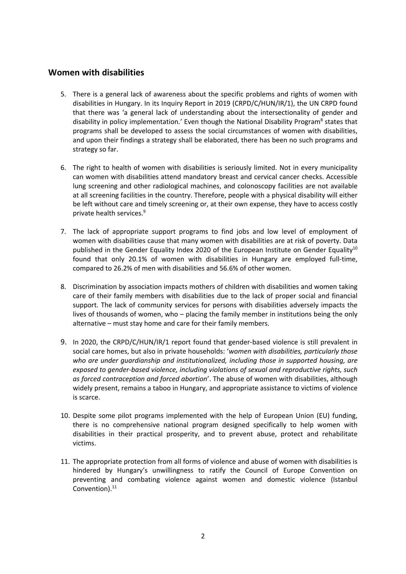### **Women with disabilities**

- 5. There is <sup>a</sup> general lack of awareness about the specific problems and rights of women with disabilities in Hungary. In its Inquiry Report in 2019 (CRPD/C/HUN/IR/1), the UN CRPD found that there was '<sup>a</sup> general lack of understanding about the intersectionality of gender and disability in policy implementation.' Even though the National Disability Program<sup>8</sup> states that programs shall be developed to assess the social circumstances of women with disabilities, and upon their findings <sup>a</sup> strategy shall be elaborated, there has been no such programs and strategy so far.
- 6. The right to health of women with disabilities is seriously limited. Not in every municipality can women with disabilities attend mandatory breast and cervical cancer checks. Accessible lung screening and other radiological machines, and colonoscopy facilities are not available at all screening facilities in the country. Therefore, people with <sup>a</sup> physical disability will either be left without care and timely screening or, at their own expense, they have to access costly private health services. 9
- 7. The lack of appropriate support programs to find jobs and low level of employment of women with disabilities cause that many women with disabilities are at risk of poverty. Data published in the Gender Equality Index 2020 of the European Institute on Gender Equality $^{\text{10}}$ found that only 20.1% of women with disabilities in Hungary are employed full-time, compared to 26.2% of men with disabilities and 56.6% of other women.
- 8. Discrimination by association impacts mothers of children with disabilities and women taking care of their family members with disabilities due to the lack of proper social and financial support. The lack of community services for persons with disabilities adversely impacts the lives of thousands of women, who – placing the family member in institutions being the only alternative – must stay home and care for their family members.
- 9. In 2020, the CRPD/C/HUN/IR/1 report found that gender-based violence is still prevalent in social care homes, but also in private households: '*women with disabilities, particularly those who are under guardianship and institutionalized, including those in supported housing, are exposed to gender-based violence, including violations of sexual and reproductive rights, such as forced contraception and forced abortion*'. The abuse of women with disabilities, although widely present, remains <sup>a</sup> taboo in Hungary, and appropriate assistance to victims of violence is scarce.
- 10. Despite some pilot programs implemented with the help of European Union (EU) funding, there is no comprehensive national program designed specifically to help women with disabilities in their practical prosperity, and to prevent abuse, protect and rehabilitate victims.
- 11. The appropriate protection from all forms of violence and abuse of women with disabilities is hindered by Hungary'<sup>s</sup> unwillingness to ratify the Council of Europe Convention on preventing and combating violence against women and domestic violence (Istanbul Convention). 11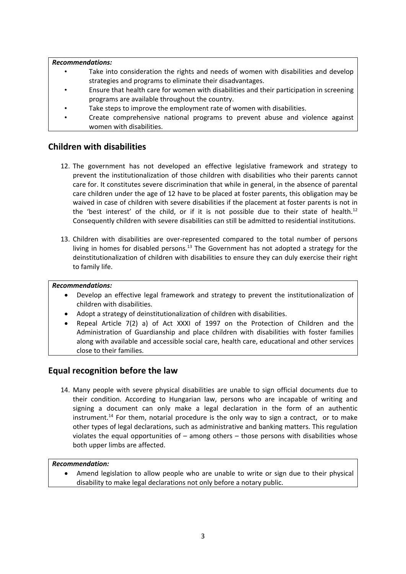#### *Recommendations:*

- • Take into consideration the rights and needs of women with disabilities and develop strategies and programs to eliminate their disadvantages.
- • Ensure that health care for women with disabilities and their participation in screening programs are available throughout the country.
- •Take steps to improve the employment rate of women with disabilities.
- • Create comprehensive national programs to prevent abuse and violence against women with disabilities.

## **Children with disabilities**

- 12. The government has not developed an effective legislative framework and strategy to prevent the institutionalization of those children with disabilities who their parents cannot care for. It constitutes severe discrimination that while in general, in the absence of parental care children under the age of 12 have to be placed at foster parents, this obligation may be waived in case of children with severe disabilities if the placement at foster parents is not in the 'best interest' of the child, or if it is not possible due to their state of health.<sup>12</sup> Consequently children with severe disabilities can still be admitted to residential institutions.
- 13. Children with disabilities are over-represented compared to the total number of persons living in homes for disabled persons.<sup>13</sup> The Government has not adopted a strategy for the deinstitutionalization of children with disabilities to ensure they can duly exercise their right to family life.

### *Recommendations:*

- $\bullet$  Develop an effective legal framework and strategy to prevent the institutionalization of children with disabilities.
- e Adopt <sup>a</sup> strategy of deinstitutionalization of children with disabilities.
- c Repeal Article 7(2) a) of Act XXXI of 1997 on the Protection of Children and the Administration of Guardianship and place children with disabilities with foster families along with available and accessible social care, health care, educational and other services close to their families.

# **Equal recognition before the law**

14. Many people with severe physical disabilities are unable to sign official documents due to their condition. According to Hungarian law, persons who are incapable of writing and signing <sup>a</sup> document can only make <sup>a</sup> legal declaration in the form of an authentic instrument.<sup>14</sup> For them, notarial procedure is the only way to sign a contract, or to make other types of legal declarations, such as administrative and banking matters. This regulation violates the equal opportunities of – among others – those persons with disabilities whose both upper limbs are affected.

### *Recommendation:*

c Amend legislation to allow people who are unable to write or sign due to their physical disability to make legal declarations not only before <sup>a</sup> notary public.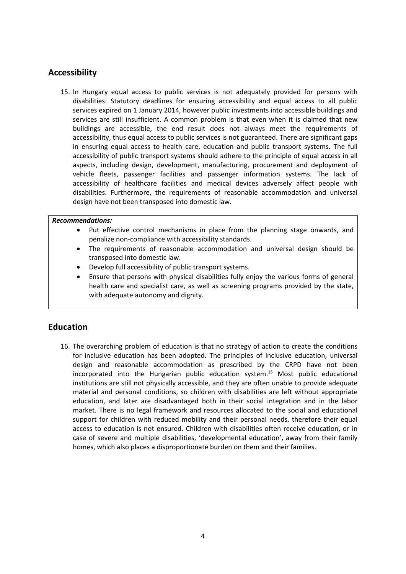# **Accessibility**

15. In Hungary equal access to public services is not adequately provided for persons with disabilities. Statutory deadlines for ensuring accessibility and equal access to all public services expired on 1 January 2014, however public investments into accessible buildings and services are still insufficient. A common problem is that even when it is claimed that new buildings are accessible, the end result does not always meet the requirements of accessibility, thus equal access to public services is not guaranteed. There are significant gaps in ensuring equal access to health care, education and public transport systems. The full accessibility of public transport systems should adhere to the principle of equal access in all aspects, including design, development, manufacturing, procurement and deployment of vehicle fleets, passenger facilities and passenger information systems. The lack of accessibility of healthcare facilities and medical devices adversely affect people with disabilities. Furthermore, the requirements of reasonable accommodation and universal design have not been transposed into domestic law.

#### *Recommendations:*

- c Put effective control mechanisms in place from the planning stage onwards, and penalize non-compliance with accessibility standards.
- c The requirements of reasonable accommodation and universal design should be transposed into domestic law.
- c Develop full accessibility of public transport systems.
- c Ensure that persons with physical disabilities fully enjoy the various forms of general health care and specialist care, as well as screening programs provided by the state, with adequate autonomy and dignity.

## **Education**

16. The overarching problem of education is that no strategy of action to create the conditions for inclusive education has been adopted. The principles of inclusive education, universal design and reasonable accommodation as prescribed by the CRPD have not been incorporated into the Hungarian public education system. <sup>15</sup> Most public educational institutions are still not physically accessible, and they are often unable to provide adequate material and personal conditions, so children with disabilities are left without appropriate education, and later are disadvantaged both in their social integration and in the labor market. There is no legal framework and resources allocated to the social and educational support for children with reduced mobility and their personal needs, therefore their equal access to education is not ensured. Children with disabilities often receive education, or in case of severe and multiple disabilities, 'developmental education', away from their family homes, which also places <sup>a</sup> disproportionate burden on them and their families.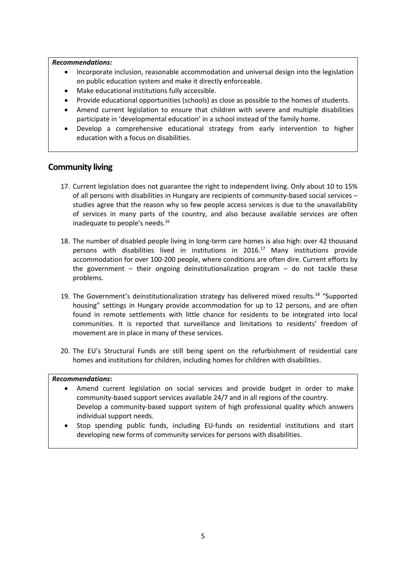#### *Recommendations:*

- c Incorporate inclusion, reasonable accommodation and universal design into the legislation on public education system and make it directly enforceable.
- e Make educational institutions fully accessible.
- c Provide educational opportunities (schools) as close as possible to the homes of students.
- c Amend current legislation to ensure that children with severe and multiple disabilities participate in 'developmental education' in <sup>a</sup> school instead of the family home.
- e Develop <sup>a</sup> comprehensive educational strategy from early intervention to higher education with <sup>a</sup> focus on disabilities.

## **Community living**

- 17. Current legislation does not guarantee the right to independent living. Only about 10 to 15% of all persons with disabilities in Hungary are recipients of community-based social services – studies agree that the reason why so few people access services is due to the unavailability of services in many parts of the country, and also because available services are often inadequate to people's needs.<sup>16</sup>
- 18. The number of disabled people living in long-term care homes is also high: over 42 thousand persons with disabilities lived in institutions in 2016. <sup>17</sup> Many institutions provide accommodation for over 100-200 people, where conditions are often dire. Current efforts by the government – their ongoing deinstitutionalization program – do not tackle these problems.
- 19. The Government's deinstitutionalization strategy has delivered mixed results.<sup>18</sup> "Supported housing" settings in Hungary provide accommodation for up to 12 persons, and are often found in remote settlements with little chance for residents to be integrated into local communities. It is reported that surveillance and limitations to residents' freedom of movement are in place in many of these services.
- 20. The EU'<sup>s</sup> Structural Funds are still being spent on the refurbishment of residential care homes and institutions for children, including homes for children with disabilities.

#### *Recommendations***:**

- e Amend current legislation on social services and provide budget in order to make community-based support services available 24/7 and in all regions of the country. Develop <sup>a</sup> community-based support system of high professional quality which answers individual support needs.
- c Stop spending public funds, including EU-funds on residential institutions and start developing new forms of community services for persons with disabilities.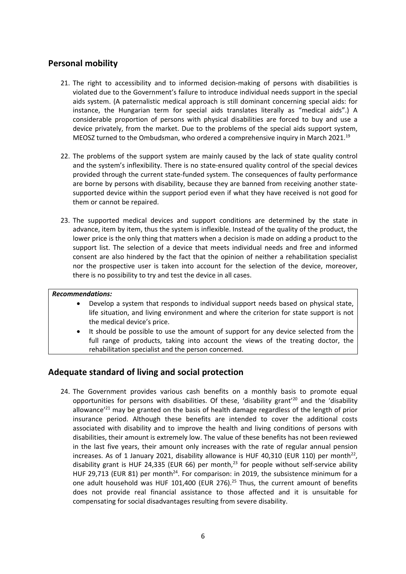# **Personal mobility**

- 21. The right to accessibility and to informed decision-making of persons with disabilities is violated due to the Government'<sup>s</sup> failure to introduce individual needs support in the special aids system. (A paternalistic medical approach is still dominant concerning special aids: for instance, the Hungarian term for special aids translates literally as "medical aids".) A considerable proportion of persons with physical disabilities are forced to buy and use <sup>a</sup> device privately, from the market. Due to the problems of the special aids support system, MEOSZ turned to the Ombudsman, who ordered a comprehensive inquiry in March 2021. $^{19}$
- 22. The problems of the support system are mainly caused by the lack of state quality control and the system'<sup>s</sup> inflexibility. There is no state-ensured quality control of the special devices provided through the current state-funded system. The consequences of faulty performance are borne by persons with disability, because they are banned from receiving another statesupported device within the support period even if what they have received is not good for them or cannot be repaired.
- 23. The supported medical devices and support conditions are determined by the state in advance, item by item, thus the system is inflexible. Instead of the quality of the product, the lower price is the only thing that matters when <sup>a</sup> decision is made on adding <sup>a</sup> product to the support list. The selection of <sup>a</sup> device that meets individual needs and free and informed consent are also hindered by the fact that the opinion of neither <sup>a</sup> rehabilitation specialist nor the prospective user is taken into account for the selection of the device, moreover, there is no possibility to try and test the device in all cases.

#### *Recommendations:*

- e Develop <sup>a</sup> system that responds to individual support needs based on physical state, life situation, and living environment and where the criterion for state support is not the medical device'<sup>s</sup> price.
- e It should be possible to use the amount of support for any device selected from the full range of products, taking into account the views of the treating doctor, the rehabilitation specialist and the person concerned.

# **Adequate standard of living and social protection**

24. The Government provides various cash benefits on <sup>a</sup> monthly basis to promote equal opportunities for persons with disabilities. Of these, 'disability grant'<sup>20</sup> and the 'disability allowance'<sup>21</sup> may be granted on the basis of health damage regardless of the length of prior insurance period. Although these benefits are intended to cover the additional costs associated with disability and to improve the health and living conditions of persons with disabilities, their amount is extremely low. The value of these benefits has not been reviewed in the last five years, their amount only increases with the rate of regular annual pension increases. As of 1 January 2021, disability allowance is HUF 40,310 (EUR 110) per month $^{22},$ disability grant is HUF 24,335 (EUR 66) per month, 23 for people without self-service ability HUF 29,713 (EUR 81) per month $^{24}$ . For comparison: in 2019, the subsistence minimum for a one adult household was HUF 101,400 (EUR 276).<sup>25</sup> Thus, the current amount of benefits does not provide real financial assistance to those affected and it is unsuitable for compensating for social disadvantages resulting from severe disability.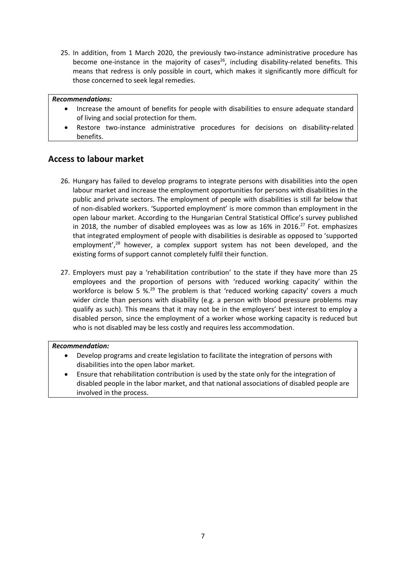25. In addition, from 1 March 2020, the previously two-instance administrative procedure has become one-instance in the majority of cases<sup>26</sup>, including disability-related benefits. This means that redress is only possible in court, which makes it significantly more difficult for those concerned to seek legal remedies.

#### *Recommendations:*

- Increase the amount of benefits for people with disabilities to ensure adequate standard of living and social protection for them.
- c Restore two-instance administrative procedures for decisions on disability-related benefits.

## **Access to labour market**

- 26. Hungary has failed to develop programs to integrate persons with disabilities into the open labour market and increase the employment opportunities for persons with disabilities in the public and private sectors. The employment of people with disabilities is still far below that of non-disabled workers. 'Supported employment' is more common than employment in the open labour market. According to the Hungarian Central Statistical Office'<sup>s</sup> survey published in 2018, the number of disabled employees was as low as  $16\%$  in 2016.<sup>27</sup> Fot. emphasizes that integrated employment of people with disabilities is desirable as opposed to 'supported employment',<sup>28</sup> however, a complex support system has not been developed, and the existing forms of support cannot completely fulfil their function.
- 27. Employers must pay <sup>a</sup> 'rehabilitation contribution' to the state if they have more than 25 employees and the proportion of persons with 'reduced working capacity' within the workforce is below 5 %.<sup>29</sup> The problem is that 'reduced working capacity' covers a much wider circle than persons with disability (e.g. <sup>a</sup> person with blood pressure problems may qualify as such). This means that it may not be in the employers' best interest to employ <sup>a</sup> disabled person, since the employment of <sup>a</sup> worker whose working capacity is reduced but who is not disabled may be less costly and requires less accommodation.

#### *Recommendation:*

- c Develop programs and create legislation to facilitate the integration of persons with disabilities into the open labor market.
- c Ensure that rehabilitation contribution is used by the state only for the integration of disabled people in the labor market, and that national associations of disabled people are involved in the process.